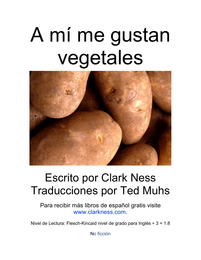# A mí me gustan vegetales



#### Escrito por Clark Ness Traducciones por Ted Muhs

Para recibir más libros de español gratis visite [www.clarkness.com.](http://www.clarkness.com)

Nivel de Lectura: Flesch-Kincaid nivel de grado para Inglés ÷ 3 = 1.8

No ficción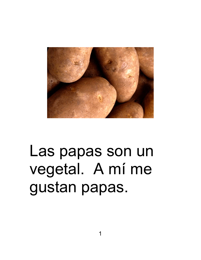

#### Las papas son un vegetal. A mí me gustan papas.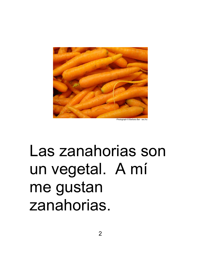

Las zanahorias son un vegetal. A mí me gustan zanahorias.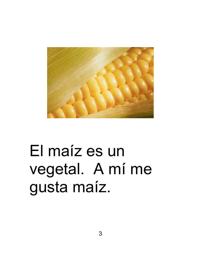

# El maíz es un vegetal. A mí me gusta maíz.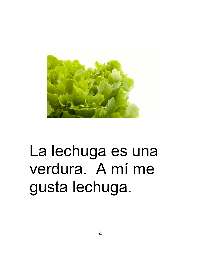

# La lechuga es una verdura. A mí me gusta lechuga.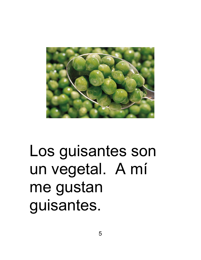

#### Los guisantes son un vegetal. A mí me gustan guisantes.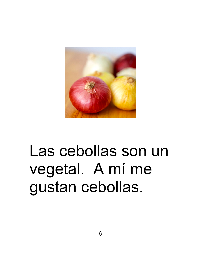

# Las cebollas son un vegetal. A mí me gustan cebollas.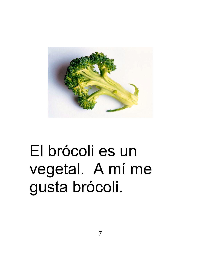

# El brócoli es un vegetal. A mí me gusta brócoli.